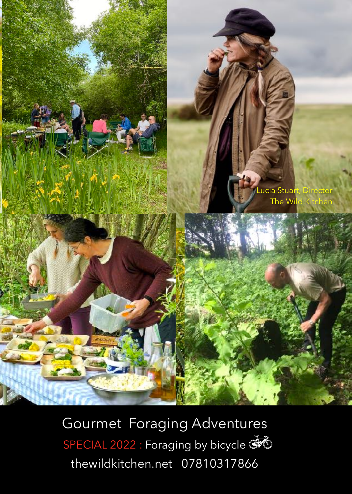

Gourmet Foraging Adventures SPECIAL 2022 : Foraging by bicycle [thewildkitchen.net](http://thewildkitchen.net) 07810317866